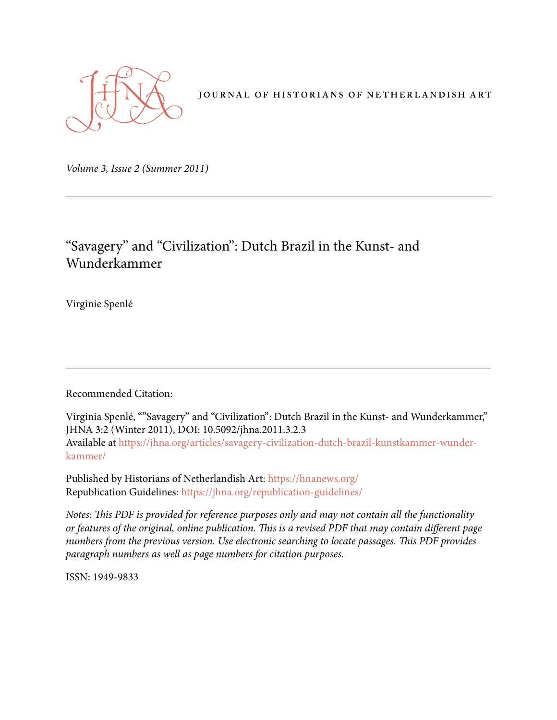

JOURNAL OF HISTORIANS OF NETHERLANDISH ART

*Volume 3, Issue 2 (Summer 2011)* 

# "Savagery" and "Civilization": Dutch Brazil in the Kunst- and Wunderkammer

Virginie Spenlé

Recommended Citation:

Virginia Spenlé, ""Savagery" and "Civilization": Dutch Brazil in the Kunst- and Wunderkammer," JHNA 3:2 (Winter 2011), DOI: 10.5092/jhna.2011.3.2.3 Available at https://jhna.org/articles/savagery-civilization-dutch-brazil-kunstkammer-wunderkammer/

Published by Historians of Netherlandish Art: https://hnanews.org/ Republication Guidelines: https://jhna.org/republication-guidelines/

*Notes: This PDF is provided for reference purposes only and may not contain all the functionality or features of the original, online publication. This is a revised PDF that may contain different page numbers from the previous version. Use electronic searching to locate passages. This PDF provides paragraph numbers as well as page numbers for citation purposes.*

ISSN: 1949-9833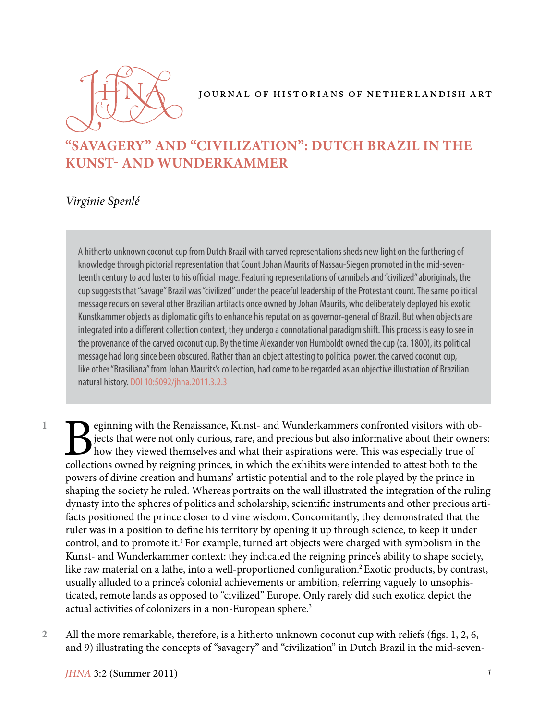

#### JOURNAL OF HISTORIANS OF NETHERLANDISH ART

# **"SAVAGERY" AND "CIVILIZATION": DUTCH BRAZIL IN THE KUNST- AND WUNDERKAMMER**

### *Virginie Spenlé*

A hitherto unknown coconut cup from Dutch Brazil with carved representations sheds new light on the furthering of knowledge through pictorial representation that Count Johan Maurits of Nassau-Siegen promoted in the mid-seventeenth century to add luster to his official image. Featuring representations of cannibals and "civilized" aboriginals, the cup suggests that "savage" Brazil was "civilized" under the peaceful leadership of the Protestant count. The same political message recurs on several other Brazilian artifacts once owned by Johan Maurits, who deliberately deployed his exotic Kunstkammer objects as diplomatic gifts to enhance his reputation as governor-general of Brazil. But when objects are integrated into a different collection context, they undergo a connotational paradigm shift. This process is easy to see in the provenance of the carved coconut cup. By the time Alexander von Humboldt owned the cup (ca. 1800), its political message had long since been obscured. Rather than an object attesting to political power, the carved coconut cup, like other "Brasiliana" from Johan Maurits's collection, had come to be regarded as an objective illustration of Brazilian natural history. DOI 10:5092/jhna.2011.3.2.3

**1**

Equinting with the Renaissance, Kunst- and Wunderkammers confronted visitors with objects that were not only curious, rare, and precious but also informative about their owner how they viewed themselves and what their aspi jects that were not only curious, rare, and precious but also informative about their owners: how they viewed themselves and what their aspirations were. This was especially true of collections owned by reigning princes, in which the exhibits were intended to attest both to the powers of divine creation and humans' artistic potential and to the role played by the prince in shaping the society he ruled. Whereas portraits on the wall illustrated the integration of the ruling dynasty into the spheres of politics and scholarship, scientific instruments and other precious artifacts positioned the prince closer to divine wisdom. Concomitantly, they demonstrated that the ruler was in a position to define his territory by opening it up through science, to keep it under control, and to promote it.<sup>1</sup> For example, turned art objects were charged with symbolism in the Kunst- and Wunderkammer context: they indicated the reigning prince's ability to shape society, like raw material on a lathe, into a well-proportioned configuration.<sup>2</sup> Exotic products, by contrast, usually alluded to a prince's colonial achievements or ambition, referring vaguely to unsophisticated, remote lands as opposed to "civilized" Europe. Only rarely did such exotica depict the actual activities of colonizers in a non-European sphere.<sup>3</sup>

All the more remarkable, therefore, is a hitherto unknown coconut cup with reliefs (figs. 1, 2, 6, and 9) illustrating the concepts of "savagery" and "civilization" in Dutch Brazil in the mid-seven-**2**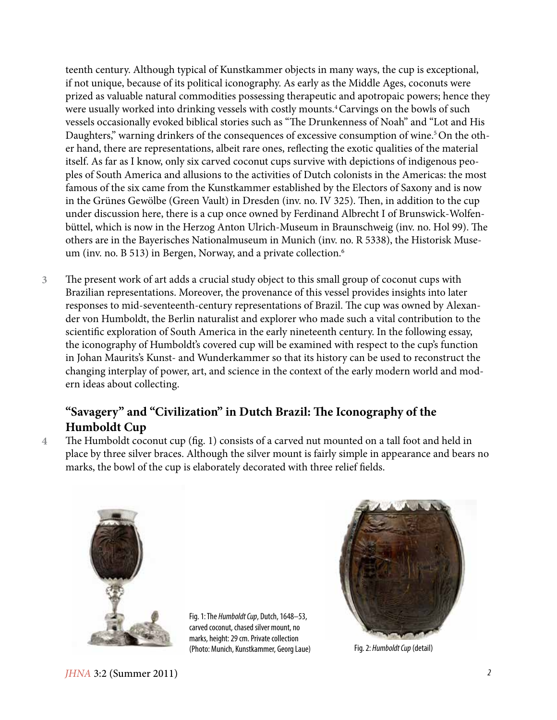teenth century. Although typical of Kunstkammer objects in many ways, the cup is exceptional, if not unique, because of its political iconography. As early as the Middle Ages, coconuts were prized as valuable natural commodities possessing therapeutic and apotropaic powers; hence they were usually worked into drinking vessels with costly mounts.<sup>4</sup> Carvings on the bowls of such vessels occasionally evoked biblical stories such as "The Drunkenness of Noah" and "Lot and His Daughters," warning drinkers of the consequences of excessive consumption of wine.<sup>5</sup> On the other hand, there are representations, albeit rare ones, reflecting the exotic qualities of the material itself. As far as I know, only six carved coconut cups survive with depictions of indigenous peoples of South America and allusions to the activities of Dutch colonists in the Americas: the most famous of the six came from the Kunstkammer established by the Electors of Saxony and is now in the Grünes Gewölbe (Green Vault) in Dresden (inv. no. IV 325). Then, in addition to the cup under discussion here, there is a cup once owned by Ferdinand Albrecht I of Brunswick-Wolfenbüttel, which is now in the Herzog Anton Ulrich-Museum in Braunschweig (inv. no. Hol 99). The others are in the Bayerisches Nationalmuseum in Munich (inv. no. R 5338), the Historisk Museum (inv. no. B 513) in Bergen, Norway, and a private collection.<sup>6</sup>

The present work of art adds a crucial study object to this small group of coconut cups with Brazilian representations. Moreover, the provenance of this vessel provides insights into later responses to mid-seventeenth-century representations of Brazil. The cup was owned by Alexander von Humboldt, the Berlin naturalist and explorer who made such a vital contribution to the scientific exploration of South America in the early nineteenth century. In the following essay, the iconography of Humboldt's covered cup will be examined with respect to the cup's function in Johan Maurits's Kunst- and Wunderkammer so that its history can be used to reconstruct the changing interplay of power, art, and science in the context of the early modern world and modern ideas about collecting. **3**

### **"Savagery" and "Civilization" in Dutch Brazil: The Iconography of the Humboldt Cup**

The Humboldt coconut cup (fig. 1) consists of a carved nut mounted on a tall foot and held in place by three silver braces. Although the silver mount is fairly simple in appearance and bears no marks, the bowl of the cup is elaborately decorated with three relief fields. **4**



Fig. 1: The *Humboldt Cup*, Dutch, 1648–53, carved coconut, chased silver mount, no marks, height: 29 cm. Private collection (Photo: Munich, Kunstkammer, Georg Laue) Fig. 2: *Humboldt Cup* (detail)



*JHNA* 3:2 (Summer 2011) *2*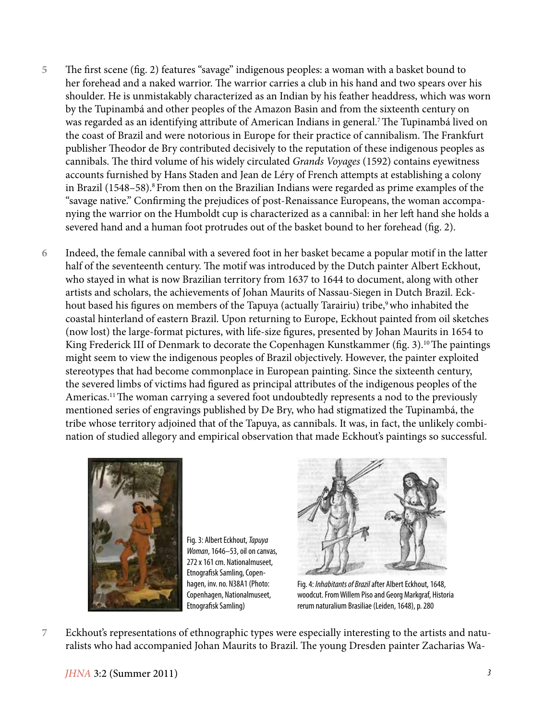- The first scene (fig. 2) features "savage" indigenous peoples: a woman with a basket bound to her forehead and a naked warrior. The warrior carries a club in his hand and two spears over his shoulder. He is unmistakably characterized as an Indian by his feather headdress, which was worn by the Tupinambá and other peoples of the Amazon Basin and from the sixteenth century on was regarded as an identifying attribute of American Indians in general.7 The Tupinambá lived on the coast of Brazil and were notorious in Europe for their practice of cannibalism. The Frankfurt publisher Theodor de Bry contributed decisively to the reputation of these indigenous peoples as cannibals. The third volume of his widely circulated *Grands Voyages* (1592) contains eyewitness accounts furnished by Hans Staden and Jean de Léry of French attempts at establishing a colony in Brazil (1548–58).<sup>8</sup> From then on the Brazilian Indians were regarded as prime examples of the "savage native." Confirming the prejudices of post-Renaissance Europeans, the woman accompanying the warrior on the Humboldt cup is characterized as a cannibal: in her left hand she holds a severed hand and a human foot protrudes out of the basket bound to her forehead (fig. 2). **5**
- Indeed, the female cannibal with a severed foot in her basket became a popular motif in the latter half of the seventeenth century. The motif was introduced by the Dutch painter Albert Eckhout, who stayed in what is now Brazilian territory from 1637 to 1644 to document, along with other artists and scholars, the achievements of Johan Maurits of Nassau-Siegen in Dutch Brazil. Eckhout based his figures on members of the Tapuya (actually Tarairiu) tribe,<sup>9</sup> who inhabited the coastal hinterland of eastern Brazil. Upon returning to Europe, Eckhout painted from oil sketches (now lost) the large-format pictures, with life-size figures, presented by Johan Maurits in 1654 to King Frederick III of Denmark to decorate the Copenhagen Kunstkammer (fig. 3).<sup>10</sup> The paintings might seem to view the indigenous peoples of Brazil objectively. However, the painter exploited stereotypes that had become commonplace in European painting. Since the sixteenth century, the severed limbs of victims had figured as principal attributes of the indigenous peoples of the Americas.<sup>11</sup> The woman carrying a severed foot undoubtedly represents a nod to the previously mentioned series of engravings published by De Bry, who had stigmatized the Tupinambá, the tribe whose territory adjoined that of the Tapuya, as cannibals. It was, in fact, the unlikely combination of studied allegory and empirical observation that made Eckhout's paintings so successful. **6**



Fig. 3: Albert Eckhout, *Tapuya Woman*, 1646–53, oil on canvas, 272 x 161 cm. Nationalmuseet, Etnografisk Samling, Copenhagen, inv. no. N38A1 (Photo: Copenhagen, Nationalmuseet, Etnografisk Samling)



Fig. 4: *Inhabitants of Brazil* after Albert Eckhout, 1648, woodcut. From Willem Piso and Georg Markgraf, Historia rerum naturalium Brasiliae (Leiden, 1648), p. 280

Eckhout's representations of ethnographic types were especially interesting to the artists and naturalists who had accompanied Johan Maurits to Brazil. The young Dresden painter Zacharias Wa-**7**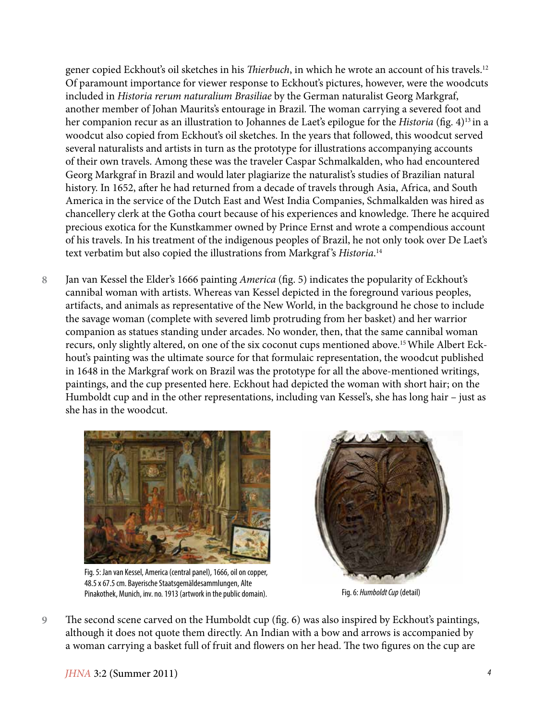gener copied Eckhout's oil sketches in his *Thierbuch*, in which he wrote an account of his travels.12 Of paramount importance for viewer response to Eckhout's pictures, however, were the woodcuts included in *Historia rerum naturalium Brasiliae* by the German naturalist Georg Markgraf, another member of Johan Maurits's entourage in Brazil. The woman carrying a severed foot and her companion recur as an illustration to Johannes de Laet's epilogue for the *Historia* (fig. 4)13 in a woodcut also copied from Eckhout's oil sketches. In the years that followed, this woodcut served several naturalists and artists in turn as the prototype for illustrations accompanying accounts of their own travels. Among these was the traveler Caspar Schmalkalden, who had encountered Georg Markgraf in Brazil and would later plagiarize the naturalist's studies of Brazilian natural history. In 1652, after he had returned from a decade of travels through Asia, Africa, and South America in the service of the Dutch East and West India Companies, Schmalkalden was hired as chancellery clerk at the Gotha court because of his experiences and knowledge. There he acquired precious exotica for the Kunstkammer owned by Prince Ernst and wrote a compendious account of his travels. In his treatment of the indigenous peoples of Brazil, he not only took over De Laet's text verbatim but also copied the illustrations from Markgraf 's *Historia*. 14

Jan van Kessel the Elder's 1666 painting *America* (fig. 5) indicates the popularity of Eckhout's cannibal woman with artists. Whereas van Kessel depicted in the foreground various peoples, artifacts, and animals as representative of the New World, in the background he chose to include the savage woman (complete with severed limb protruding from her basket) and her warrior companion as statues standing under arcades. No wonder, then, that the same cannibal woman recurs, only slightly altered, on one of the six coconut cups mentioned above.15 While Albert Eckhout's painting was the ultimate source for that formulaic representation, the woodcut published in 1648 in the Markgraf work on Brazil was the prototype for all the above-mentioned writings, paintings, and the cup presented here. Eckhout had depicted the woman with short hair; on the Humboldt cup and in the other representations, including van Kessel's, she has long hair – just as she has in the woodcut. **8**



Fig. 5: Jan van Kessel, America (central panel), 1666, oil on copper, 48.5 x 67.5 cm. Bayerische Staatsgemäldesammlungen, Alte Pinakothek, Munich, inv. no. 1913 (artwork in the public domain). Fig. 6: *Humboldt Cup* (detail)



The second scene carved on the Humboldt cup (fig. 6) was also inspired by Eckhout's paintings, although it does not quote them directly. An Indian with a bow and arrows is accompanied by a woman carrying a basket full of fruit and flowers on her head. The two figures on the cup are **9**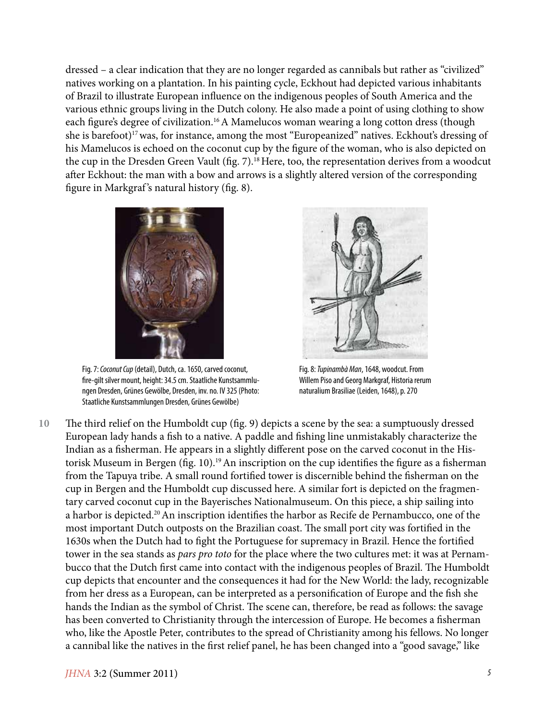dressed – a clear indication that they are no longer regarded as cannibals but rather as "civilized" natives working on a plantation. In his painting cycle, Eckhout had depicted various inhabitants of Brazil to illustrate European influence on the indigenous peoples of South America and the various ethnic groups living in the Dutch colony. He also made a point of using clothing to show each figure's degree of civilization.<sup>16</sup> A Mamelucos woman wearing a long cotton dress (though she is barefoot)<sup>17</sup> was, for instance, among the most "Europeanized" natives. Eckhout's dressing of his Mamelucos is echoed on the coconut cup by the figure of the woman, who is also depicted on the cup in the Dresden Green Vault (fig. 7).<sup>18</sup> Here, too, the representation derives from a woodcut after Eckhout: the man with a bow and arrows is a slightly altered version of the corresponding figure in Markgraf 's natural history (fig. 8).



Fig. 7: *Coconut Cup* (detail), Dutch, ca. 1650, carved coconut, fire-gilt silver mount, height: 34.5 cm. Staatliche Kunstsammlungen Dresden, Grünes Gewölbe, Dresden, inv. no. IV 325 (Photo: Staatliche Kunstsammlungen Dresden, Grünes Gewölbe)



Fig. 8: *Tupinambà Man*, 1648, woodcut. From Willem Piso and Georg Markgraf, Historia rerum naturalium Brasiliae (Leiden, 1648), p. 270

The third relief on the Humboldt cup (fig. 9) depicts a scene by the sea: a sumptuously dressed European lady hands a fish to a native. A paddle and fishing line unmistakably characterize the Indian as a fisherman. He appears in a slightly different pose on the carved coconut in the Historisk Museum in Bergen (fig. 10).<sup>19</sup> An inscription on the cup identifies the figure as a fisherman from the Tapuya tribe. A small round fortified tower is discernible behind the fisherman on the cup in Bergen and the Humboldt cup discussed here. A similar fort is depicted on the fragmentary carved coconut cup in the Bayerisches Nationalmuseum. On this piece, a ship sailing into a harbor is depicted.<sup>20</sup> An inscription identifies the harbor as Recife de Pernambucco, one of the most important Dutch outposts on the Brazilian coast. The small port city was fortified in the 1630s when the Dutch had to fight the Portuguese for supremacy in Brazil. Hence the fortified tower in the sea stands as *pars pro toto* for the place where the two cultures met: it was at Pernambucco that the Dutch first came into contact with the indigenous peoples of Brazil. The Humboldt cup depicts that encounter and the consequences it had for the New World: the lady, recognizable from her dress as a European, can be interpreted as a personification of Europe and the fish she hands the Indian as the symbol of Christ. The scene can, therefore, be read as follows: the savage has been converted to Christianity through the intercession of Europe. He becomes a fisherman who, like the Apostle Peter, contributes to the spread of Christianity among his fellows. No longer a cannibal like the natives in the first relief panel, he has been changed into a "good savage," like **10**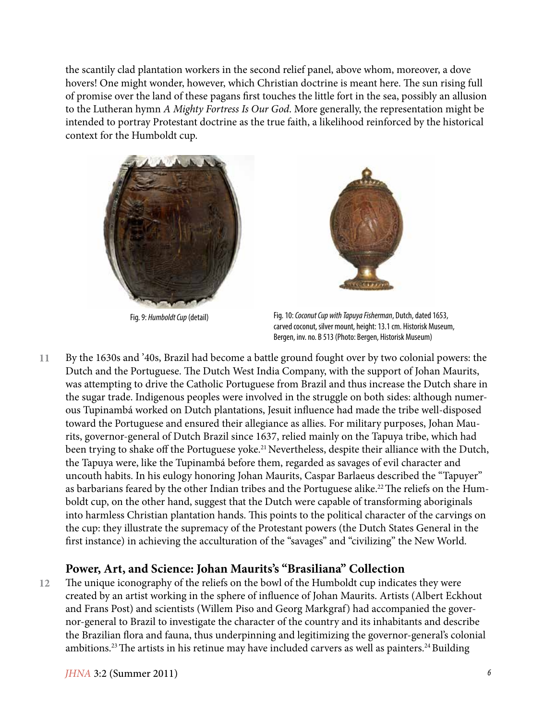the scantily clad plantation workers in the second relief panel, above whom, moreover, a dove hovers! One might wonder, however, which Christian doctrine is meant here. The sun rising full of promise over the land of these pagans first touches the little fort in the sea, possibly an allusion to the Lutheran hymn *A Mighty Fortress Is Our God*. More generally, the representation might be intended to portray Protestant doctrine as the true faith, a likelihood reinforced by the historical context for the Humboldt cup.





Fig. 9: *Humboldt Cup* (detail) Fig. 10: *Coconut Cup with Tapuya Fisherman*, Dutch, dated 1653, carved coconut, silver mount, height: 13.1 cm. Historisk Museum, Bergen, inv. no. B 513 (Photo: Bergen, Historisk Museum)

By the 1630s and '40s, Brazil had become a battle ground fought over by two colonial powers: the Dutch and the Portuguese. The Dutch West India Company, with the support of Johan Maurits, was attempting to drive the Catholic Portuguese from Brazil and thus increase the Dutch share in the sugar trade. Indigenous peoples were involved in the struggle on both sides: although numerous Tupinambá worked on Dutch plantations, Jesuit influence had made the tribe well-disposed toward the Portuguese and ensured their allegiance as allies. For military purposes, Johan Maurits, governor-general of Dutch Brazil since 1637, relied mainly on the Tapuya tribe, which had been trying to shake off the Portuguese yoke.<sup>21</sup> Nevertheless, despite their alliance with the Dutch, the Tapuya were, like the Tupinambá before them, regarded as savages of evil character and uncouth habits. In his eulogy honoring Johan Maurits, Caspar Barlaeus described the "Tapuyer" as barbarians feared by the other Indian tribes and the Portuguese alike.<sup>22</sup> The reliefs on the Humboldt cup, on the other hand, suggest that the Dutch were capable of transforming aboriginals into harmless Christian plantation hands. This points to the political character of the carvings on the cup: they illustrate the supremacy of the Protestant powers (the Dutch States General in the first instance) in achieving the acculturation of the "savages" and "civilizing" the New World. **11**

#### **Power, Art, and Science: Johan Maurits's "Brasiliana" Collection**

The unique iconography of the reliefs on the bowl of the Humboldt cup indicates they were created by an artist working in the sphere of influence of Johan Maurits. Artists (Albert Eckhout and Frans Post) and scientists (Willem Piso and Georg Markgraf) had accompanied the governor-general to Brazil to investigate the character of the country and its inhabitants and describe the Brazilian flora and fauna, thus underpinning and legitimizing the governor-general's colonial ambitions.<sup>23</sup> The artists in his retinue may have included carvers as well as painters.<sup>24</sup> Building **12**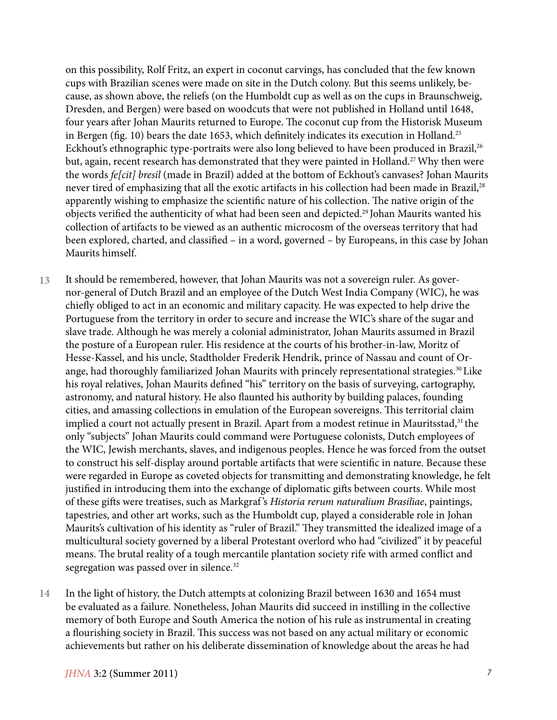on this possibility, Rolf Fritz, an expert in coconut carvings, has concluded that the few known cups with Brazilian scenes were made on site in the Dutch colony. But this seems unlikely, because, as shown above, the reliefs (on the Humboldt cup as well as on the cups in Braunschweig, Dresden, and Bergen) were based on woodcuts that were not published in Holland until 1648, four years after Johan Maurits returned to Europe. The coconut cup from the Historisk Museum in Bergen (fig. 10) bears the date 1653, which definitely indicates its execution in Holland.<sup>25</sup> Eckhout's ethnographic type-portraits were also long believed to have been produced in Brazil,<sup>26</sup> but, again, recent research has demonstrated that they were painted in Holland.<sup>27</sup> Why then were the words *fe[cit] bresil* (made in Brazil) added at the bottom of Eckhout's canvases? Johan Maurits never tired of emphasizing that all the exotic artifacts in his collection had been made in Brazil,<sup>28</sup> apparently wishing to emphasize the scientific nature of his collection. The native origin of the objects verified the authenticity of what had been seen and depicted.29 Johan Maurits wanted his collection of artifacts to be viewed as an authentic microcosm of the overseas territory that had been explored, charted, and classified – in a word, governed – by Europeans, in this case by Johan Maurits himself.

It should be remembered, however, that Johan Maurits was not a sovereign ruler. As governor-general of Dutch Brazil and an employee of the Dutch West India Company (WIC), he was chiefly obliged to act in an economic and military capacity. He was expected to help drive the Portuguese from the territory in order to secure and increase the WIC's share of the sugar and slave trade. Although he was merely a colonial administrator, Johan Maurits assumed in Brazil the posture of a European ruler. His residence at the courts of his brother-in-law, Moritz of Hesse-Kassel, and his uncle, Stadtholder Frederik Hendrik, prince of Nassau and count of Orange, had thoroughly familiarized Johan Maurits with princely representational strategies.<sup>30</sup> Like his royal relatives, Johan Maurits defined "his" territory on the basis of surveying, cartography, astronomy, and natural history. He also flaunted his authority by building palaces, founding cities, and amassing collections in emulation of the European sovereigns. This territorial claim implied a court not actually present in Brazil. Apart from a modest retinue in Mauritsstad,<sup>31</sup> the only "subjects" Johan Maurits could command were Portuguese colonists, Dutch employees of the WIC, Jewish merchants, slaves, and indigenous peoples. Hence he was forced from the outset to construct his self-display around portable artifacts that were scientific in nature. Because these were regarded in Europe as coveted objects for transmitting and demonstrating knowledge, he felt justified in introducing them into the exchange of diplomatic gifts between courts. While most of these gifts were treatises, such as Markgraf 's *Historia rerum naturalium Brasiliae*, paintings, tapestries, and other art works, such as the Humboldt cup, played a considerable role in Johan Maurits's cultivation of his identity as "ruler of Brazil." They transmitted the idealized image of a multicultural society governed by a liberal Protestant overlord who had "civilized" it by peaceful means. The brutal reality of a tough mercantile plantation society rife with armed conflict and segregation was passed over in silence.<sup>32</sup> **13**

In the light of history, the Dutch attempts at colonizing Brazil between 1630 and 1654 must be evaluated as a failure. Nonetheless, Johan Maurits did succeed in instilling in the collective memory of both Europe and South America the notion of his rule as instrumental in creating a flourishing society in Brazil. This success was not based on any actual military or economic achievements but rather on his deliberate dissemination of knowledge about the areas he had **14**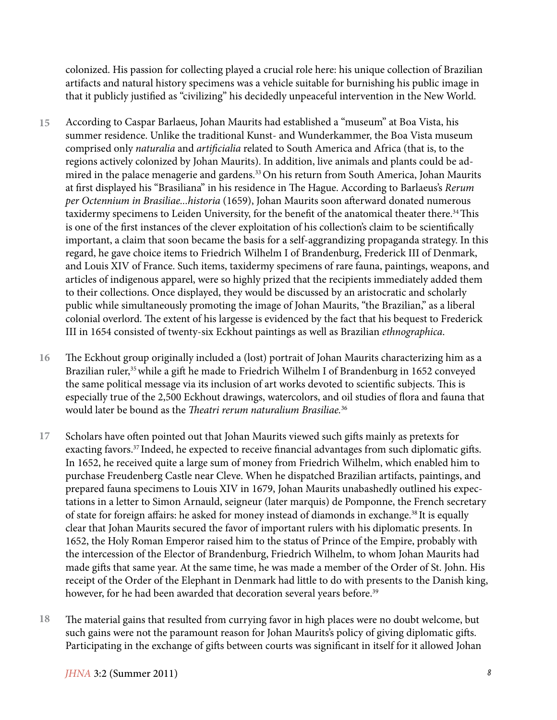colonized. His passion for collecting played a crucial role here: his unique collection of Brazilian artifacts and natural history specimens was a vehicle suitable for burnishing his public image in that it publicly justified as "civilizing" his decidedly unpeaceful intervention in the New World.

- According to Caspar Barlaeus, Johan Maurits had established a "museum" at Boa Vista, his summer residence. Unlike the traditional Kunst- and Wunderkammer, the Boa Vista museum comprised only *naturalia* and *artificialia* related to South America and Africa (that is, to the regions actively colonized by Johan Maurits). In addition, live animals and plants could be admired in the palace menagerie and gardens.<sup>33</sup> On his return from South America, Johan Maurits at first displayed his "Brasiliana" in his residence in The Hague. According to Barlaeus's *Rerum per Octennium in Brasiliae...historia* (1659), Johan Maurits soon afterward donated numerous taxidermy specimens to Leiden University, for the benefit of the anatomical theater there.<sup>34</sup> This is one of the first instances of the clever exploitation of his collection's claim to be scientifically important, a claim that soon became the basis for a self-aggrandizing propaganda strategy. In this regard, he gave choice items to Friedrich Wilhelm I of Brandenburg, Frederick III of Denmark, and Louis XIV of France. Such items, taxidermy specimens of rare fauna, paintings, weapons, and articles of indigenous apparel, were so highly prized that the recipients immediately added them to their collections. Once displayed, they would be discussed by an aristocratic and scholarly public while simultaneously promoting the image of Johan Maurits, "the Brazilian," as a liberal colonial overlord. The extent of his largesse is evidenced by the fact that his bequest to Frederick III in 1654 consisted of twenty-six Eckhout paintings as well as Brazilian *ethnographica*. **15**
- The Eckhout group originally included a (lost) portrait of Johan Maurits characterizing him as a Brazilian ruler,<sup>35</sup> while a gift he made to Friedrich Wilhelm I of Brandenburg in 1652 conveyed the same political message via its inclusion of art works devoted to scientific subjects. This is especially true of the 2,500 Eckhout drawings, watercolors, and oil studies of flora and fauna that would later be bound as the *Theatri rerum naturalium Brasiliae.*<sup>36</sup> **16**
- Scholars have often pointed out that Johan Maurits viewed such gifts mainly as pretexts for exacting favors.<sup>37</sup> Indeed, he expected to receive financial advantages from such diplomatic gifts. In 1652, he received quite a large sum of money from Friedrich Wilhelm, which enabled him to purchase Freudenberg Castle near Cleve. When he dispatched Brazilian artifacts, paintings, and prepared fauna specimens to Louis XIV in 1679, Johan Maurits unabashedly outlined his expectations in a letter to Simon Arnauld, seigneur (later marquis) de Pomponne, the French secretary of state for foreign affairs: he asked for money instead of diamonds in exchange.38 It is equally clear that Johan Maurits secured the favor of important rulers with his diplomatic presents. In 1652, the Holy Roman Emperor raised him to the status of Prince of the Empire, probably with the intercession of the Elector of Brandenburg, Friedrich Wilhelm, to whom Johan Maurits had made gifts that same year. At the same time, he was made a member of the Order of St. John. His receipt of the Order of the Elephant in Denmark had little to do with presents to the Danish king, however, for he had been awarded that decoration several years before.<sup>39</sup> **17**
- The material gains that resulted from currying favor in high places were no doubt welcome, but such gains were not the paramount reason for Johan Maurits's policy of giving diplomatic gifts. Participating in the exchange of gifts between courts was significant in itself for it allowed Johan **18**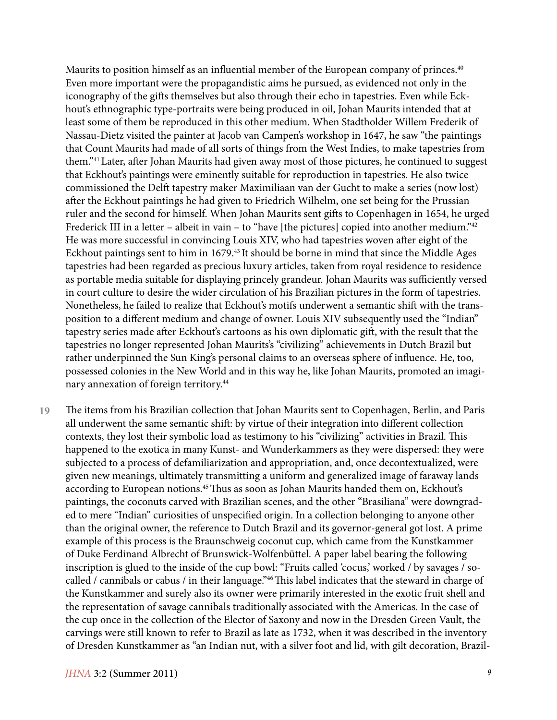Maurits to position himself as an influential member of the European company of princes.<sup>40</sup> Even more important were the propagandistic aims he pursued, as evidenced not only in the iconography of the gifts themselves but also through their echo in tapestries. Even while Eckhout's ethnographic type-portraits were being produced in oil, Johan Maurits intended that at least some of them be reproduced in this other medium. When Stadtholder Willem Frederik of Nassau-Dietz visited the painter at Jacob van Campen's workshop in 1647, he saw "the paintings that Count Maurits had made of all sorts of things from the West Indies, to make tapestries from them."41 Later, after Johan Maurits had given away most of those pictures, he continued to suggest that Eckhout's paintings were eminently suitable for reproduction in tapestries. He also twice commissioned the Delft tapestry maker Maximiliaan van der Gucht to make a series (now lost) after the Eckhout paintings he had given to Friedrich Wilhelm, one set being for the Prussian ruler and the second for himself. When Johan Maurits sent gifts to Copenhagen in 1654, he urged Frederick III in a letter – albeit in vain – to "have [the pictures] copied into another medium."<sup>42</sup> He was more successful in convincing Louis XIV, who had tapestries woven after eight of the Eckhout paintings sent to him in 1679.<sup>43</sup> It should be borne in mind that since the Middle Ages tapestries had been regarded as precious luxury articles, taken from royal residence to residence as portable media suitable for displaying princely grandeur. Johan Maurits was sufficiently versed in court culture to desire the wider circulation of his Brazilian pictures in the form of tapestries. Nonetheless, he failed to realize that Eckhout's motifs underwent a semantic shift with the transposition to a different medium and change of owner. Louis XIV subsequently used the "Indian" tapestry series made after Eckhout's cartoons as his own diplomatic gift, with the result that the tapestries no longer represented Johan Maurits's "civilizing" achievements in Dutch Brazil but rather underpinned the Sun King's personal claims to an overseas sphere of influence. He, too, possessed colonies in the New World and in this way he, like Johan Maurits, promoted an imaginary annexation of foreign territory.44

The items from his Brazilian collection that Johan Maurits sent to Copenhagen, Berlin, and Paris all underwent the same semantic shift: by virtue of their integration into different collection contexts, they lost their symbolic load as testimony to his "civilizing" activities in Brazil. This happened to the exotica in many Kunst- and Wunderkammers as they were dispersed: they were subjected to a process of defamiliarization and appropriation, and, once decontextualized, were given new meanings, ultimately transmitting a uniform and generalized image of faraway lands according to European notions.45 Thus as soon as Johan Maurits handed them on, Eckhout's paintings, the coconuts carved with Brazilian scenes, and the other "Brasiliana" were downgraded to mere "Indian" curiosities of unspecified origin. In a collection belonging to anyone other than the original owner, the reference to Dutch Brazil and its governor-general got lost. A prime example of this process is the Braunschweig coconut cup, which came from the Kunstkammer of Duke Ferdinand Albrecht of Brunswick-Wolfenbüttel. A paper label bearing the following inscription is glued to the inside of the cup bowl: "Fruits called 'cocus,' worked / by savages / socalled / cannibals or cabus / in their language."46 This label indicates that the steward in charge of the Kunstkammer and surely also its owner were primarily interested in the exotic fruit shell and the representation of savage cannibals traditionally associated with the Americas. In the case of the cup once in the collection of the Elector of Saxony and now in the Dresden Green Vault, the carvings were still known to refer to Brazil as late as 1732, when it was described in the inventory of Dresden Kunstkammer as "an Indian nut, with a silver foot and lid, with gilt decoration, Brazil-**19**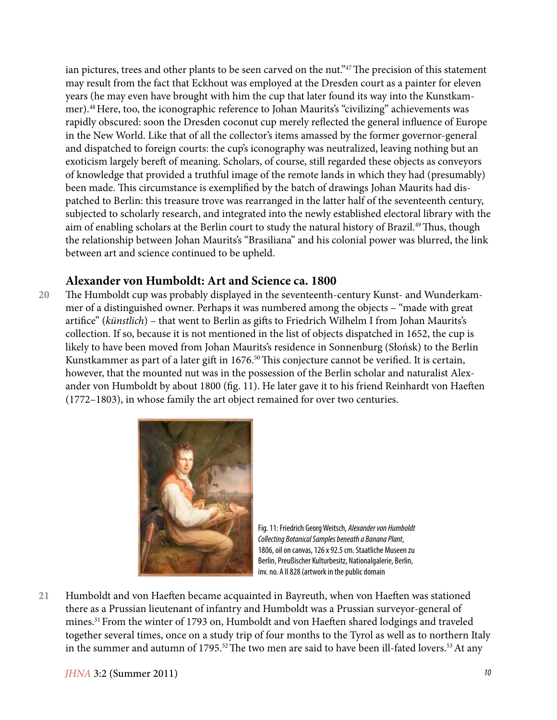ian pictures, trees and other plants to be seen carved on the nut."47 The precision of this statement may result from the fact that Eckhout was employed at the Dresden court as a painter for eleven years (he may even have brought with him the cup that later found its way into the Kunstkammer).48 Here, too, the iconographic reference to Johan Maurits's "civilizing" achievements was rapidly obscured: soon the Dresden coconut cup merely reflected the general influence of Europe in the New World. Like that of all the collector's items amassed by the former governor-general and dispatched to foreign courts: the cup's iconography was neutralized, leaving nothing but an exoticism largely bereft of meaning. Scholars, of course, still regarded these objects as conveyors of knowledge that provided a truthful image of the remote lands in which they had (presumably) been made. This circumstance is exemplified by the batch of drawings Johan Maurits had dispatched to Berlin: this treasure trove was rearranged in the latter half of the seventeenth century, subjected to scholarly research, and integrated into the newly established electoral library with the aim of enabling scholars at the Berlin court to study the natural history of Brazil.<sup>49</sup> Thus, though the relationship between Johan Maurits's "Brasiliana" and his colonial power was blurred, the link between art and science continued to be upheld.

#### **Alexander von Humboldt: Art and Science ca. 1800**

The Humboldt cup was probably displayed in the seventeenth-century Kunst- and Wunderkammer of a distinguished owner. Perhaps it was numbered among the objects – "made with great artifice" (*künstlich*) – that went to Berlin as gifts to Friedrich Wilhelm I from Johan Maurits's collection. If so, because it is not mentioned in the list of objects dispatched in 1652, the cup is likely to have been moved from Johan Maurits's residence in Sonnenburg (Słońsk) to the Berlin Kunstkammer as part of a later gift in 1676.<sup>50</sup> This conjecture cannot be verified. It is certain, however, that the mounted nut was in the possession of the Berlin scholar and naturalist Alexander von Humboldt by about 1800 (fig. 11). He later gave it to his friend Reinhardt von Haeften (1772–1803), in whose family the art object remained for over two centuries. **20**



Fig. 11: Friedrich Georg Weitsch, *Alexander von Humboldt Collecting Botanical Samples beneath a Banana Plant*, 1806, oil on canvas, 126 x 92.5 cm. Staatliche Museen zu Berlin, Preußischer Kulturbesitz, Nationalgalerie, Berlin, inv. no. A II 828 (artwork in the public domain

Humboldt and von Haeften became acquainted in Bayreuth, when von Haeften was stationed there as a Prussian lieutenant of infantry and Humboldt was a Prussian surveyor-general of mines.51 From the winter of 1793 on, Humboldt and von Haeften shared lodgings and traveled together several times, once on a study trip of four months to the Tyrol as well as to northern Italy in the summer and autumn of 1795.<sup>52</sup> The two men are said to have been ill-fated lovers.<sup>53</sup> At any **21**

*JHNA* 3:2 (Summer 2011) *10*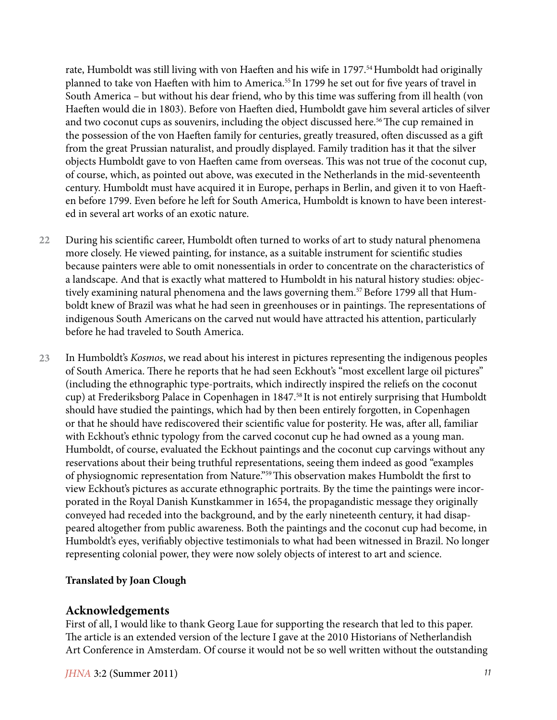rate, Humboldt was still living with von Haeften and his wife in 1797.<sup>54</sup> Humboldt had originally planned to take von Haeften with him to America.<sup>55</sup> In 1799 he set out for five years of travel in South America – but without his dear friend, who by this time was suffering from ill health (von Haeften would die in 1803). Before von Haeften died, Humboldt gave him several articles of silver and two coconut cups as souvenirs, including the object discussed here.<sup>56</sup> The cup remained in the possession of the von Haeften family for centuries, greatly treasured, often discussed as a gift from the great Prussian naturalist, and proudly displayed. Family tradition has it that the silver objects Humboldt gave to von Haeften came from overseas. This was not true of the coconut cup, of course, which, as pointed out above, was executed in the Netherlands in the mid-seventeenth century. Humboldt must have acquired it in Europe, perhaps in Berlin, and given it to von Haeften before 1799. Even before he left for South America, Humboldt is known to have been interested in several art works of an exotic nature.

- During his scientific career, Humboldt often turned to works of art to study natural phenomena more closely. He viewed painting, for instance, as a suitable instrument for scientific studies because painters were able to omit nonessentials in order to concentrate on the characteristics of a landscape. And that is exactly what mattered to Humboldt in his natural history studies: objectively examining natural phenomena and the laws governing them.<sup>57</sup> Before 1799 all that Humboldt knew of Brazil was what he had seen in greenhouses or in paintings. The representations of indigenous South Americans on the carved nut would have attracted his attention, particularly before he had traveled to South America. **22**
- In Humboldt's *Kosmos*, we read about his interest in pictures representing the indigenous peoples of South America. There he reports that he had seen Eckhout's "most excellent large oil pictures" (including the ethnographic type-portraits, which indirectly inspired the reliefs on the coconut cup) at Frederiksborg Palace in Copenhagen in 1847.58 It is not entirely surprising that Humboldt should have studied the paintings, which had by then been entirely forgotten, in Copenhagen or that he should have rediscovered their scientific value for posterity. He was, after all, familiar with Eckhout's ethnic typology from the carved coconut cup he had owned as a young man. Humboldt, of course, evaluated the Eckhout paintings and the coconut cup carvings without any reservations about their being truthful representations, seeing them indeed as good "examples of physiognomic representation from Nature."59 This observation makes Humboldt the first to view Eckhout's pictures as accurate ethnographic portraits. By the time the paintings were incorporated in the Royal Danish Kunstkammer in 1654, the propagandistic message they originally conveyed had receded into the background, and by the early nineteenth century, it had disappeared altogether from public awareness. Both the paintings and the coconut cup had become, in Humboldt's eyes, verifiably objective testimonials to what had been witnessed in Brazil. No longer representing colonial power, they were now solely objects of interest to art and science. **23**

#### **Translated by Joan Clough**

#### **Acknowledgements**

First of all, I would like to thank Georg Laue for supporting the research that led to this paper. The article is an extended version of the lecture I gave at the 2010 Historians of Netherlandish Art Conference in Amsterdam. Of course it would not be so well written without the outstanding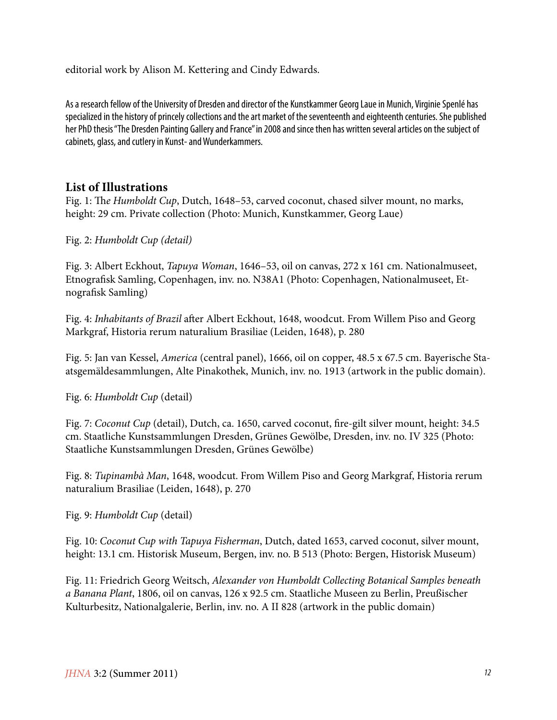editorial work by Alison M. Kettering and Cindy Edwards.

As a research fellow of the University of Dresden and director of the Kunstkammer Georg Laue in Munich, Virginie Spenlé has specialized in the history of princely collections and the art market of the seventeenth and eighteenth centuries. She published her PhD thesis "The Dresden Painting Gallery and France" in 2008 and since then has written several articles on the subject of cabinets, glass, and cutlery in Kunst- and Wunderkammers.

### **List of Illustrations**

Fig. 1: Th*e Humboldt Cup*, Dutch, 1648–53, carved coconut, chased silver mount, no marks, height: 29 cm. Private collection (Photo: Munich, Kunstkammer, Georg Laue)

Fig. 2: *Humboldt Cup (detail)*

Fig. 3: Albert Eckhout, *Tapuya Woman*, 1646–53, oil on canvas, 272 x 161 cm. Nationalmuseet, Etnografisk Samling, Copenhagen, inv. no. N38A1 (Photo: Copenhagen, Nationalmuseet, Etnografisk Samling)

Fig. 4: *Inhabitants of Brazil* after Albert Eckhout, 1648, woodcut. From Willem Piso and Georg Markgraf, Historia rerum naturalium Brasiliae (Leiden, 1648), p. 280

Fig. 5: Jan van Kessel, *America* (central panel), 1666, oil on copper, 48.5 x 67.5 cm. Bayerische Staatsgemäldesammlungen, Alte Pinakothek, Munich, inv. no. 1913 (artwork in the public domain).

Fig. 6: *Humboldt Cup* (detail)

Fig. 7: *Coconut Cup* (detail), Dutch, ca. 1650, carved coconut, fire-gilt silver mount, height: 34.5 cm. Staatliche Kunstsammlungen Dresden, Grünes Gewölbe, Dresden, inv. no. IV 325 (Photo: Staatliche Kunstsammlungen Dresden, Grünes Gewölbe)

Fig. 8: *Tupinambà Man*, 1648, woodcut. From Willem Piso and Georg Markgraf, Historia rerum naturalium Brasiliae (Leiden, 1648), p. 270

Fig. 9: *Humboldt Cup* (detail)

Fig. 10: *Coconut Cup with Tapuya Fisherman*, Dutch, dated 1653, carved coconut, silver mount, height: 13.1 cm. Historisk Museum, Bergen, inv. no. B 513 (Photo: Bergen, Historisk Museum)

Fig. 11: Friedrich Georg Weitsch, *Alexander von Humboldt Collecting Botanical Samples beneath a Banana Plant*, 1806, oil on canvas, 126 x 92.5 cm. Staatliche Museen zu Berlin, Preußischer Kulturbesitz, Nationalgalerie, Berlin, inv. no. A II 828 (artwork in the public domain)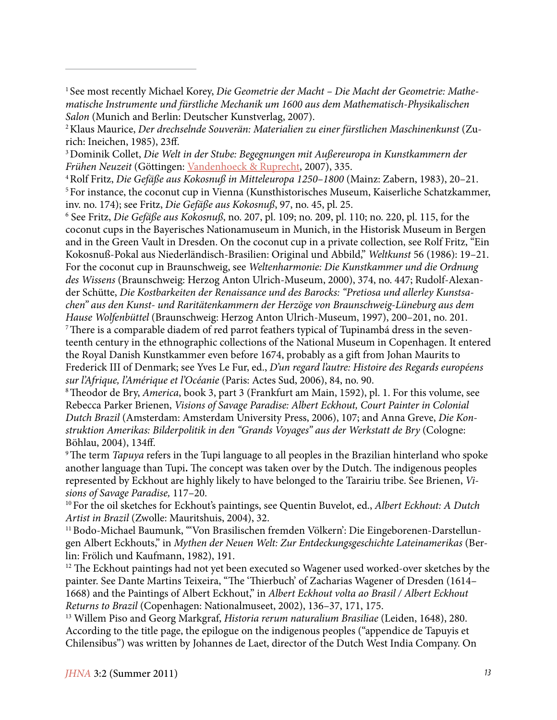<sup>1</sup> See most recently Michael Korey, Die Geometrie der Macht – Die Macht der Geometrie: Mathe*matische Instrumente und fürstliche Mechanik um 1600 aus dem Mathematisch-Physikalischen Salon* (Munich and Berlin: Deutscher Kunstverlag, 2007).

3 Dominik Collet, *Die Welt in der Stube: Begegnungen mit Außereuropa in Kunstkammern der Frühen Neuzeit* (Göttingen: Vandenhoeck & Ruprecht, 2007), 335.

4 Rolf Fritz, *Die Gefäße aus Kokosnuß in Mitteleuropa 1250–1800* (Mainz: Zabern, 1983), 20–21. 5 For instance, the coconut cup in Vienna (Kunsthistorisches Museum, Kaiserliche Schatzkammer, inv. no. 174); see Fritz, *Die Gefäße aus Kokosnuß*, 97, no. 45, pl. 25.

6 See Fritz, *Die Gefäße aus Kokosnuß*, no. 207, pl. 109; no. 209, pl. 110; no. 220, pl. 115, for the coconut cups in the Bayerisches Nationamuseum in Munich, in the Historisk Museum in Bergen and in the Green Vault in Dresden. On the coconut cup in a private collection, see Rolf Fritz, "Ein Kokosnuß-Pokal aus Niederländisch-Brasilien: Original und Abbild," *Weltkunst* 56 (1986): 19–21. For the coconut cup in Braunschweig, see *Weltenharmonie: Die Kunstkammer und die Ordnung des Wissens* (Braunschweig: Herzog Anton Ulrich-Museum, 2000), 374, no. 447; Rudolf-Alexander Schütte, *Die Kostbarkeiten der Renaissance und des Barocks: "Pretiosa und allerley Kunstsachen" aus den Kunst- und Raritätenkammern der Herzöge von Braunschweig-Lüneburg aus dem Hause Wolfenbüttel* (Braunschweig: Herzog Anton Ulrich-Museum, 1997), 200–201, no. 201. <sup>7</sup>There is a comparable diadem of red parrot feathers typical of Tupinambá dress in the seventeenth century in the ethnographic collections of the National Museum in Copenhagen. It entered

the Royal Danish Kunstkammer even before 1674, probably as a gift from Johan Maurits to Frederick III of Denmark; see Yves Le Fur, ed., *D'un regard l'autre: Histoire des Regards européens sur l'Afrique, l'Amérique et l'Océanie* (Paris: Actes Sud, 2006), 84, no. 90.

8 Theodor de Bry, *America*, book 3, part 3 (Frankfurt am Main, 1592), pl. 1. For this volume, see Rebecca Parker Brienen, *Visions of Savage Paradise: Albert Eckhout, Court Painter in Colonial Dutch Brazil* (Amsterdam: Amsterdam University Press, 2006), 107; and Anna Greve, *Die Konstruktion Amerikas: Bilderpolitik in den "Grands Voyages" aus der Werkstatt de Bry* (Cologne: Böhlau, 2004), 134ff.

9 The term *Tapuya* refers in the Tupi language to all peoples in the Brazilian hinterland who spoke another language than Tupi**.** The concept was taken over by the Dutch. The indigenous peoples represented by Eckhout are highly likely to have belonged to the Tarairiu tribe. See Brienen, *Visions of Savage Paradise,* 117–20.

10 For the oil sketches for Eckhout's paintings, see Quentin Buvelot, ed., *Albert Eckhout: A Dutch Artist in Brazil* (Zwolle: Mauritshuis, 2004), 32.

11 Bodo-Michael Baumunk, "'Von Brasilischen fremden Völkern': Die Eingeborenen-Darstellungen Albert Eckhouts," in *Mythen der Neuen Welt: Zur Entdeckungsgeschichte Lateinamerikas* (Berlin: Frölich und Kaufmann, 1982), 191.

<sup>12</sup> The Eckhout paintings had not yet been executed so Wagener used worked-over sketches by the painter. See Dante Martins Teixeira, "The 'Thierbuch' of Zacharias Wagener of Dresden (1614– 1668) and the Paintings of Albert Eckhout," in *Albert Eckhout volta ao Brasil / Albert Eckhout Returns to Brazil* (Copenhagen: Nationalmuseet, 2002), 136–37, 171, 175.

13 Willem Piso and Georg Markgraf, *Historia rerum naturalium Brasiliae* (Leiden, 1648), 280. According to the title page, the epilogue on the indigenous peoples ("appendice de Tapuyis et Chilensibus") was written by Johannes de Laet, director of the Dutch West India Company. On

<sup>2</sup> Klaus Maurice, *Der drechselnde Souverän: Materialien zu einer fürstlichen Maschinenkunst* (Zurich: Ineichen, 1985), 23ff.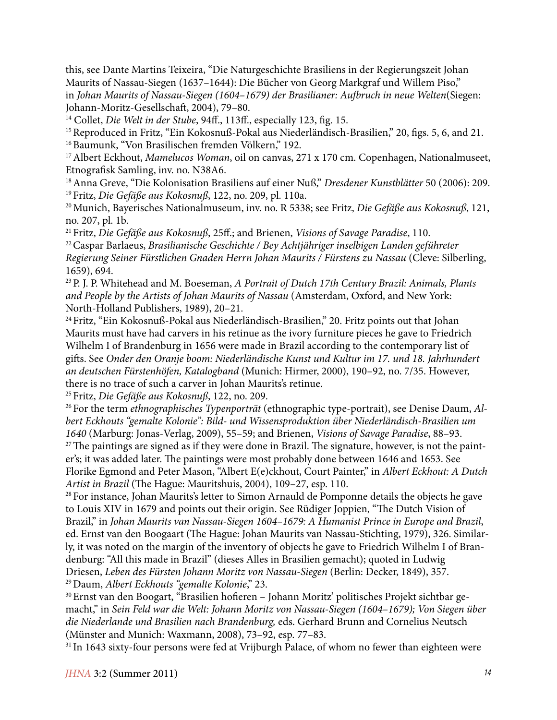this, see Dante Martins Teixeira, "Die Naturgeschichte Brasiliens in der Regierungszeit Johan Maurits of Nassau-Siegen (1637–1644): Die Bücher von Georg Markgraf und Willem Piso," in *Johan Maurits of Nassau-Siegen (1604–1679) der Brasilianer: Aufbruch in neue Welten*(Siegen: Johann-Moritz-Gesellschaft, 2004), 79–80.

<sup>14</sup> Collet, *Die Welt in der Stube*, 94ff., 113ff., especially 123, fig. 15.

<sup>15</sup> Reproduced in Fritz, "Ein Kokosnuß-Pokal aus Niederländisch-Brasilien," 20, figs. 5, 6, and 21. <sup>16</sup> Baumunk, "Von Brasilischen fremden Völkern," 192.

17 Albert Eckhout, *Mamelucos Woman*, oil on canvas, 271 x 170 cm. Copenhagen, Nationalmuseet, Etnografisk Samling, inv. no. N38A6.

18 Anna Greve, "Die Kolonisation Brasiliens auf einer Nuß," *Dresdener Kunstblätter* 50 (2006): 209. 19 Fritz, *Die Gefäße aus Kokosnuß*, 122, no. 209, pl. 110a.

20 Munich, Bayerisches Nationalmuseum, inv. no. R 5338; see Fritz, *Die Gefäße aus Kokosnuß*, 121, no. 207, pl. 1b.

21 Fritz, *Die Gefäße aus Kokosnuß*, 25ff.; and Brienen, *Visions of Savage Paradise*, 110.

22 Caspar Barlaeus, *Brasilianische Geschichte / Bey Achtjähriger inselbigen Landen geführeter Regierung Seiner Fürstlichen Gnaden Herrn Johan Maurits / Fürstens zu Nassau* (Cleve: Silberling, 1659), 694.

23 P. J. P. Whitehead and M. Boeseman, *A Portrait of Dutch 17th Century Brazil: Animals, Plants and People by the Artists of Johan Maurits of Nassau* (Amsterdam, Oxford, and New York: North-Holland Publishers, 1989), 20–21.

<sup>24</sup> Fritz, "Ein Kokosnuß-Pokal aus Niederländisch-Brasilien," 20. Fritz points out that Johan Maurits must have had carvers in his retinue as the ivory furniture pieces he gave to Friedrich Wilhelm I of Brandenburg in 1656 were made in Brazil according to the contemporary list of gifts. See *Onder den Oranje boom: Niederländische Kunst und Kultur im 17. und 18. Jahrhundert an deutschen Fürstenhöfen, Katalogband* (Munich: Hirmer, 2000), 190–92, no. 7/35. However, there is no trace of such a carver in Johan Maurits's retinue.

25 Fritz, *Die Gefäße aus Kokosnuß*, 122, no. 209.

26 For the term *ethnographisches Typenporträt* (ethnographic type-portrait), see Denise Daum, *Albert Eckhouts "gemalte Kolonie": Bild- und Wissensproduktion über Niederländisch-Brasilien um 1640* (Marburg: Jonas-Verlag, 2009), 55–59; and Brienen, *Visions of Savage Paradise*, 88–93. <sup>27</sup> The paintings are signed as if they were done in Brazil. The signature, however, is not the paint-

er's; it was added later. The paintings were most probably done between 1646 and 1653. See Florike Egmond and Peter Mason, "Albert E(e)ckhout, Court Painter," in *Albert Eckhout: A Dutch Artist in Brazil* (The Hague: Mauritshuis, 2004), 109–27, esp. 110.

<sup>28</sup> For instance, Johan Maurits's letter to Simon Arnauld de Pomponne details the objects he gave to Louis XIV in 1679 and points out their origin. See Rüdiger Joppien, "The Dutch Vision of Brazil," in *Johan Maurits van Nassau-Siegen 1604–1679: A Humanist Prince in Europe and Brazil*, ed. Ernst van den Boogaart (The Hague: Johan Maurits van Nassau-Stichting, 1979), 326. Similarly, it was noted on the margin of the inventory of objects he gave to Friedrich Wilhelm I of Brandenburg: "All this made in Brazil" (dieses Alles in Brasilien gemacht); quoted in Ludwig Driesen, *Leben des Fürsten Johann Moritz von Nassau-Siegen* (Berlin: Decker, 1849), 357. 29 Daum, *Albert Eckhouts "gemalte Kolonie*," 23.

30 Ernst van den Boogart, "Brasilien hofieren – Johann Moritz' politisches Projekt sichtbar gemacht," in *Sein Feld war die Welt: Johann Moritz von Nassau-Siegen (1604–1679); Von Siegen über die Niederlande und Brasilien nach Brandenburg,* eds. Gerhard Brunn and Cornelius Neutsch (Münster and Munich: Waxmann, 2008), 73–92, esp. 77–83.

<sup>31</sup> In 1643 sixty-four persons were fed at Vrijburgh Palace, of whom no fewer than eighteen were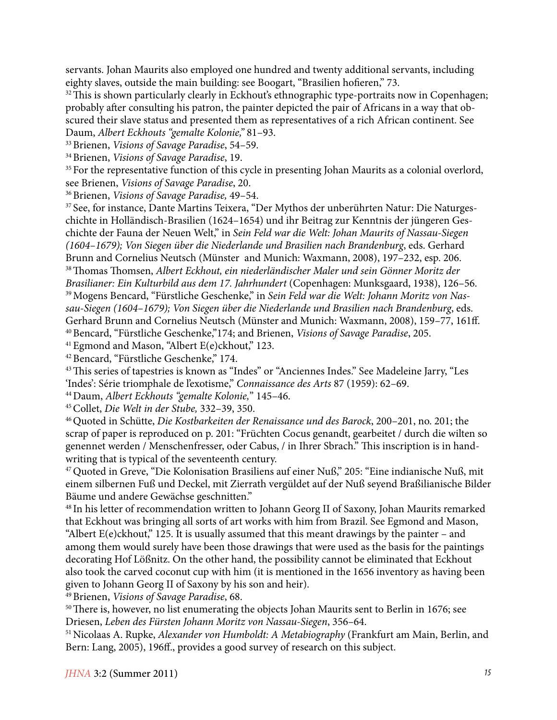servants. Johan Maurits also employed one hundred and twenty additional servants, including eighty slaves, outside the main building: see Boogart, "Brasilien hofieren," 73.

<sup>32</sup> This is shown particularly clearly in Eckhout's ethnographic type-portraits now in Copenhagen; probably after consulting his patron, the painter depicted the pair of Africans in a way that obscured their slave status and presented them as representatives of a rich African continent. See Daum, *Albert Eckhouts "gemalte Kolonie,"* 81–93.

33 Brienen, *Visions of Savage Paradise*, 54–59.

34 Brienen, *Visions of Savage Paradise*, 19.

<sup>35</sup> For the representative function of this cycle in presenting Johan Maurits as a colonial overlord, see Brienen, *Visions of Savage Paradise*, 20.

36 Brienen, *Visions of Savage Paradise,* 49–54.

37 See, for instance, Dante Martins Teixera, "Der Mythos der unberührten Natur: Die Naturgeschichte in Holländisch-Brasilien (1624–1654) und ihr Beitrag zur Kenntnis der jüngeren Geschichte der Fauna der Neuen Welt," in *Sein Feld war die Welt: Johan Maurits of Nassau-Siegen (1604–1679); Von Siegen über die Niederlande und Brasilien nach Brandenburg*, eds. Gerhard Brunn and Cornelius Neutsch (Münster and Munich: Waxmann, 2008), 197–232, esp. 206. 38 Thomas Thomsen, *Albert Eckhout, ein niederländischer Maler und sein Gönner Moritz der Brasilianer: Ein Kulturbild aus dem 17. Jahrhundert* (Copenhagen: Munksgaard, 1938), 126–56. 39 Mogens Bencard, "Fürstliche Geschenke," in *Sein Feld war die Welt: Johann Moritz von Nassau-Siegen (1604–1679); Von Siegen über die Niederlande und Brasilien nach Brandenburg*, eds. Gerhard Brunn and Cornelius Neutsch (Münster and Munich: Waxmann, 2008), 159–77, 161ff. 40 Bencard, "Fürstliche Geschenke,"174; and Brienen, *Visions of Savage Paradise*, 205.

<sup>41</sup> Egmond and Mason, "Albert E(e)ckhout," 123.

42 Bencard, "Fürstliche Geschenke," 174.

43 This series of tapestries is known as "Indes" or "Anciennes Indes." See Madeleine Jarry, "Les 'Indes': Série triomphale de l'exotisme," *Connaissance des Arts* 87 (1959): 62–69.

44 Daum, *Albert Eckhouts "gemalte Kolonie,*" 145–46.

45 Collet, *Die Welt in der Stube,* 332–39, 350.

46 Quoted in Schütte, *Die Kostbarkeiten der Renaissance und des Barock*, 200–201, no. 201; the scrap of paper is reproduced on p. 201: "Früchten Cocus genandt, gearbeitet / durch die wilten so genennet werden / Menschenfresser, oder Cabus, / in Ihrer Sbrach." This inscription is in handwriting that is typical of the seventeenth century.

47 Quoted in Greve, "Die Kolonisation Brasiliens auf einer Nuß," 205: "Eine indianische Nuß, mit einem silbernen Fuß und Deckel, mit Zierrath vergüldet auf der Nuß seyend Braßilianische Bilder Bäume und andere Gewächse geschnitten."

48 In his letter of recommendation written to Johann Georg II of Saxony, Johan Maurits remarked that Eckhout was bringing all sorts of art works with him from Brazil. See Egmond and Mason, "Albert  $E(e)$ ckhout," 125. It is usually assumed that this meant drawings by the painter – and among them would surely have been those drawings that were used as the basis for the paintings decorating Hof Lößnitz. On the other hand, the possibility cannot be eliminated that Eckhout also took the carved coconut cup with him (it is mentioned in the 1656 inventory as having been given to Johann Georg II of Saxony by his son and heir).

49 Brienen, *Visions of Savage Paradise*, 68.

<sup>50</sup> There is, however, no list enumerating the objects Johan Maurits sent to Berlin in 1676; see Driesen, *Leben des Fürsten Johann Moritz von Nassau-Siegen*, 356–64.

51 Nicolaas A. Rupke, *Alexander von Humboldt: A Metabiography* (Frankfurt am Main, Berlin, and Bern: Lang, 2005), 196ff., provides a good survey of research on this subject.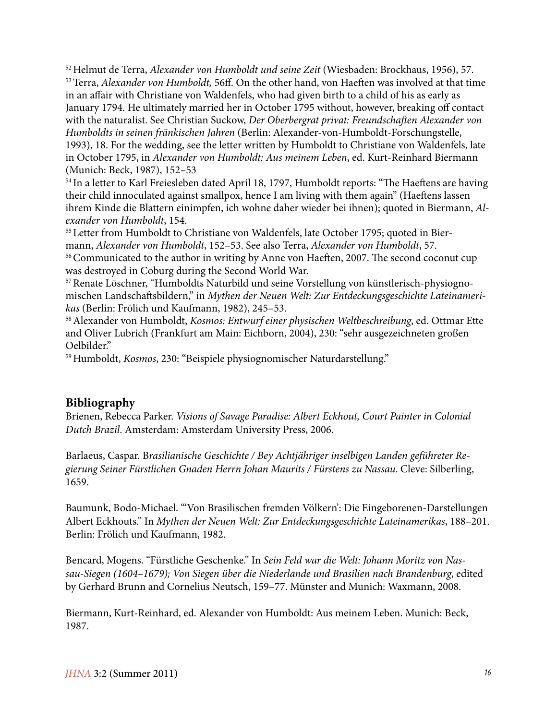52 Helmut de Terra, *Alexander von Humboldt und seine Zeit* (Wiesbaden: Brockhaus, 1956), 57. 53 Terra, *Alexander von Humboldt,* 56ff. On the other hand, von Haeften was involved at that time in an affair with Christiane von Waldenfels, who had given birth to a child of his as early as January 1794. He ultimately married her in October 1795 without, however, breaking off contact with the naturalist. See Christian Suckow, *Der Oberbergrat privat: Freundschaften Alexander von Humboldts in seinen fränkischen Jahren* (Berlin: Alexander-von-Humboldt-Forschungstelle, 1993), 18. For the wedding, see the letter written by Humboldt to Christiane von Waldenfels, late in October 1795, in *Alexander von Humboldt: Aus meinem Leben*, ed. Kurt-Reinhard Biermann (Munich: Beck, 1987), 152–53

<sup>54</sup> In a letter to Karl Freiesleben dated April 18, 1797, Humboldt reports: "The Haeftens are having their child innoculated against smallpox, hence I am living with them again" (Haeftens lassen ihrem Kinde die Blattern einimpfen, ich wohne daher wieder bei ihnen); quoted in Biermann, *Alexander von Humboldt*, 154.

55 Letter from Humboldt to Christiane von Waldenfels, late October 1795; quoted in Biermann, *Alexander von Humboldt*, 152–53. See also Terra, *Alexander von Humboldt*, 57.

56 Communicated to the author in writing by Anne von Haeften, 2007. The second coconut cup was destroyed in Coburg during the Second World War.

57 Renate Löschner, "Humboldts Naturbild und seine Vorstellung von künstlerisch-physiognomischen Landschaftsbildern," in *Mythen der Neuen Welt: Zur Entdeckungsgeschichte Lateinamerikas* (Berlin: Frölich und Kaufmann, 1982), 245–53.

58 Alexander von Humboldt, *Kosmos: Entwurf einer physischen Weltbeschreibung*, ed. Ottmar Ette and Oliver Lubrich (Frankfurt am Main: Eichborn, 2004), 230: "sehr ausgezeichneten großen Oelbilder."

59 Humboldt, *Kosmos*, 230: "Beispiele physiognomischer Naturdarstellung."

#### **Bibliography**

Brienen, Rebecca Parker. *Visions of Savage Paradise: Albert Eckhout, Court Painter in Colonial Dutch Brazil*. Amsterdam: Amsterdam University Press, 2006.

Barlaeus, Caspar. B*rasilianische Geschichte / Bey Achtjähriger inselbigen Landen geführeter Regierung Seiner Fürstlichen Gnaden Herrn Johan Maurits / Fürstens zu Nassau*. Cleve: Silberling, 1659.

Baumunk, Bodo-Michael. "'Von Brasilischen fremden Völkern': Die Eingeborenen-Darstellungen Albert Eckhouts." In *Mythen der Neuen Welt: Zur Entdeckungsgeschichte Lateinamerikas*, 188–201. Berlin: Frölich und Kaufmann, 1982.

Bencard, Mogens. "Fürstliche Geschenke." In *Sein Feld war die Welt: Johann Moritz von Nassau-Siegen (1604–1679); Von Siegen über die Niederlande und Brasilien nach Brandenburg*, edited by Gerhard Brunn and Cornelius Neutsch, 159–77. Münster and Munich: Waxmann, 2008.

Biermann, Kurt-Reinhard, ed. Alexander von Humboldt: Aus meinem Leben. Munich: Beck, 1987.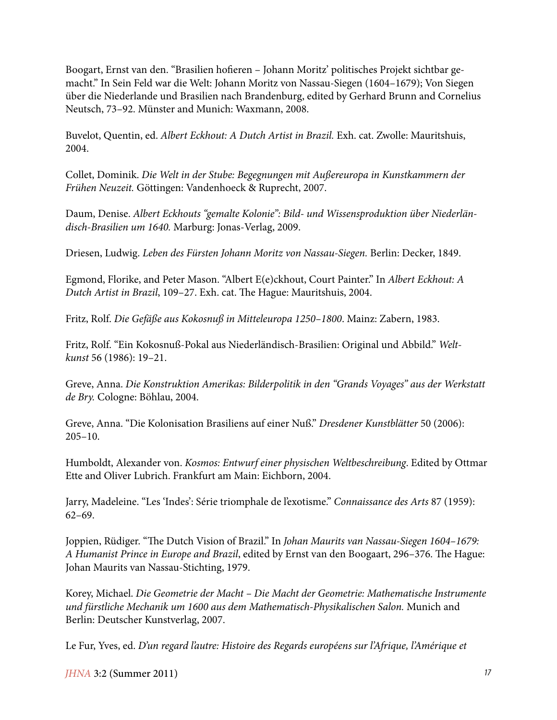Boogart, Ernst van den. "Brasilien hofieren – Johann Moritz' politisches Projekt sichtbar gemacht." In Sein Feld war die Welt: Johann Moritz von Nassau-Siegen (1604–1679); Von Siegen über die Niederlande und Brasilien nach Brandenburg, edited by Gerhard Brunn and Cornelius Neutsch, 73–92. Münster and Munich: Waxmann, 2008.

Buvelot, Quentin, ed. *Albert Eckhout: A Dutch Artist in Brazil.* Exh. cat. Zwolle: Mauritshuis, 2004.

Collet, Dominik. *Die Welt in der Stube: Begegnungen mit Außereuropa in Kunstkammern der Frühen Neuzeit.* Göttingen: Vandenhoeck & Ruprecht, 2007.

Daum, Denise. *Albert Eckhouts "gemalte Kolonie": Bild- und Wissensproduktion über Niederländisch-Brasilien um 1640.* Marburg: Jonas-Verlag, 2009.

Driesen, Ludwig. *Leben des Fürsten Johann Moritz von Nassau-Siegen.* Berlin: Decker, 1849.

Egmond, Florike, and Peter Mason. "Albert E(e)ckhout, Court Painter." In *Albert Eckhout: A Dutch Artist in Brazil*, 109–27. Exh. cat. The Hague: Mauritshuis, 2004.

Fritz, Rolf. *Die Gefäße aus Kokosnuß in Mitteleuropa 1250–1800*. Mainz: Zabern, 1983.

Fritz, Rolf. "Ein Kokosnuß-Pokal aus Niederländisch-Brasilien: Original und Abbild." *Weltkunst* 56 (1986): 19–21.

Greve, Anna. *Die Konstruktion Amerikas: Bilderpolitik in den "Grands Voyages" aus der Werkstatt de Bry.* Cologne: Böhlau, 2004.

Greve, Anna. "Die Kolonisation Brasiliens auf einer Nuß." *Dresdener Kunstblätter* 50 (2006): 205–10.

Humboldt, Alexander von. *Kosmos: Entwurf einer physischen Weltbeschreibung*. Edited by Ottmar Ette and Oliver Lubrich. Frankfurt am Main: Eichborn, 2004.

Jarry, Madeleine. "Les 'Indes': Série triomphale de l'exotisme." *Connaissance des Arts* 87 (1959): 62–69.

Joppien, Rüdiger. "The Dutch Vision of Brazil." In *Johan Maurits van Nassau-Siegen 1604–1679: A Humanist Prince in Europe and Brazil*, edited by Ernst van den Boogaart, 296–376. The Hague: Johan Maurits van Nassau-Stichting, 1979.

Korey, Michael. *Die Geometrie der Macht – Die Macht der Geometrie: Mathematische Instrumente und fürstliche Mechanik um 1600 aus dem Mathematisch-Physikalischen Salon.* Munich and Berlin: Deutscher Kunstverlag, 2007.

Le Fur, Yves, ed. *D'un regard l'autre: Histoire des Regards européens sur l'Afrique, l'Amérique et*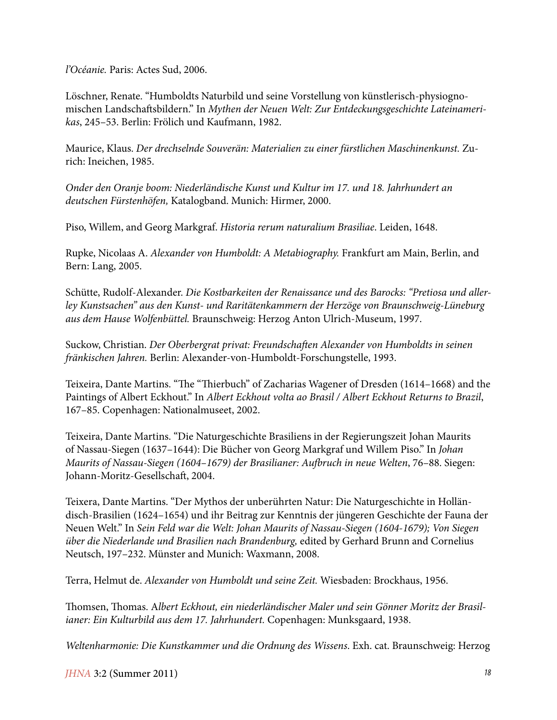*l'Océanie.* Paris: Actes Sud, 2006.

Löschner, Renate. "Humboldts Naturbild und seine Vorstellung von künstlerisch-physiognomischen Landschaftsbildern." In *Mythen der Neuen Welt: Zur Entdeckungsgeschichte Lateinamerikas*, 245–53. Berlin: Frölich und Kaufmann, 1982.

Maurice, Klaus. *Der drechselnde Souverän: Materialien zu einer fürstlichen Maschinenkunst.* Zurich: Ineichen, 1985.

*Onder den Oranje boom: Niederländische Kunst und Kultur im 17. und 18. Jahrhundert an deutschen Fürstenhöfen,* Katalogband. Munich: Hirmer, 2000.

Piso, Willem, and Georg Markgraf. *Historia rerum naturalium Brasiliae*. Leiden, 1648.

Rupke, Nicolaas A. *Alexander von Humboldt: A Metabiography.* Frankfurt am Main, Berlin, and Bern: Lang, 2005.

Schütte, Rudolf-Alexander. *Die Kostbarkeiten der Renaissance und des Barocks: "Pretiosa und allerley Kunstsachen" aus den Kunst- und Raritätenkammern der Herzöge von Braunschweig-Lüneburg aus dem Hause Wolfenbüttel.* Braunschweig: Herzog Anton Ulrich-Museum, 1997.

Suckow, Christian. *Der Oberbergrat privat: Freundschaften Alexander von Humboldts in seinen fränkischen Jahren.* Berlin: Alexander-von-Humboldt-Forschungstelle, 1993.

Teixeira, Dante Martins. "The "Thierbuch" of Zacharias Wagener of Dresden (1614–1668) and the Paintings of Albert Eckhout." In *Albert Eckhout volta ao Brasil / Albert Eckhout Returns to Brazil*, 167–85. Copenhagen: Nationalmuseet, 2002.

Teixeira, Dante Martins. "Die Naturgeschichte Brasiliens in der Regierungszeit Johan Maurits of Nassau-Siegen (1637–1644): Die Bücher von Georg Markgraf und Willem Piso." In *Johan Maurits of Nassau-Siegen (1604–1679) der Brasilianer: Aufbruch in neue Welten*, 76–88. Siegen: Johann-Moritz-Gesellschaft, 2004.

Teixera, Dante Martins. "Der Mythos der unberührten Natur: Die Naturgeschichte in Holländisch-Brasilien (1624–1654) und ihr Beitrag zur Kenntnis der jüngeren Geschichte der Fauna der Neuen Welt." In *Sein Feld war die Welt: Johan Maurits of Nassau-Siegen (1604-1679); Von Siegen über die Niederlande und Brasilien nach Brandenburg,* edited by Gerhard Brunn and Cornelius Neutsch, 197–232. Münster and Munich: Waxmann, 2008.

Terra, Helmut de. *Alexander von Humboldt und seine Zeit.* Wiesbaden: Brockhaus, 1956.

Thomsen, Thomas. A*lbert Eckhout, ein niederländischer Maler und sein Gönner Moritz der Brasilianer: Ein Kulturbild aus dem 17. Jahrhundert.* Copenhagen: Munksgaard, 1938.

*Weltenharmonie: Die Kunstkammer und die Ordnung des Wissens*. Exh. cat. Braunschweig: Herzog

*JHNA* 3:2 (Summer 2011) *18*